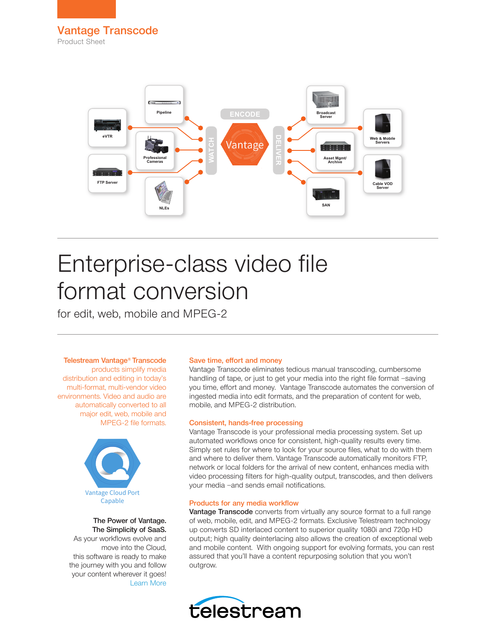

# Enterprise-class video file format conversion

for edit, web, mobile and MPEG-2

### Telestream Vantage® Transcode

products simplify media distribution and editing in today's multi-format, multi-vendor video environments. Video and audio are automatically converted to all major edit, web, mobile and MPEG-2 file formats.



### The Power of Vantage. The Simplicity of SaaS.

As your workflows evolve and move into the Cloud, this software is ready to make the journey with you and follow your content wherever it goes! [Learn More](http://www.telestream.net/vantage/vantage-cloud-port.htm)

### Save time, effort and money

Vantage Transcode eliminates tedious manual transcoding, cumbersome handling of tape, or just to get your media into the right file format —saving you time, effort and money. Vantage Transcode automates the conversion of ingested media into edit formats, and the preparation of content for web, mobile, and MPEG-2 distribution.

### Consistent, hands-free processing

Vantage Transcode is your professional media processing system. Set up automated workflows once for consistent, high-quality results every time. Simply set rules for where to look for your source files, what to do with them and where to deliver them. Vantage Transcode automatically monitors FTP, network or local folders for the arrival of new content, enhances media with video processing filters for high-quality output, transcodes, and then delivers your media —and sends email notifications.

### Products for any media workflow

Vantage Transcode converts from virtually any source format to a full range of web, mobile, edit, and MPEG-2 formats. Exclusive Telestream technology up converts SD interlaced content to superior quality 1080i and 720p HD output; high quality deinterlacing also allows the creation of exceptional web and mobile content. With ongoing support for evolving formats, you can rest assured that you'll have a content repurposing solution that you won't outgrow.

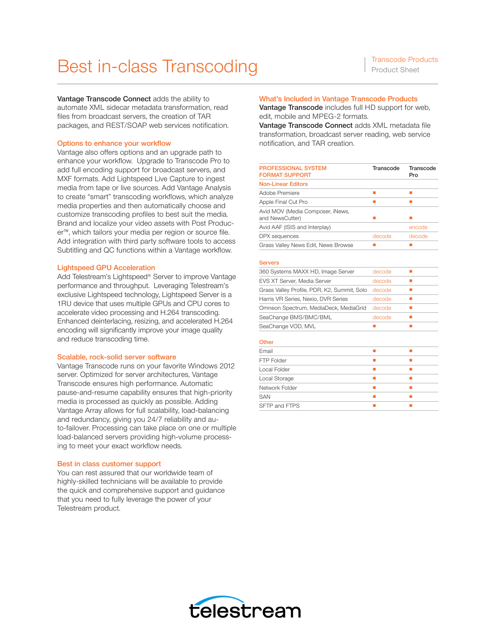## Best in-class Transcoding Transcode Products

Vantage Transcode Connect adds the ability to automate XML sidecar metadata transformation, read files from broadcast servers, the creation of TAR packages, and REST/SOAP web services notification.

### Options to enhance your workflow

Vantage also offers options and an upgrade path to enhance your workflow. Upgrade to Transcode Pro to add full encoding support for broadcast servers, and MXF formats. Add Lightspeed Live Capture to ingest media from tape or live sources. Add Vantage Analysis to create "smart" transcoding workflows, which analyze media properties and then automatically choose and customize transcoding profiles to best suit the media. Brand and localize your video assets with Post Producer™, which tailors your media per region or source file. Add integration with third party software tools to access Subtitling and QC functions within a Vantage workflow.

### Lightspeed GPU Acceleration

Add Telestream's Lightspeed® Server to improve Vantage performance and throughput. Leveraging Telestream's exclusive Lightspeed technology, Lightspeed Server is a 1RU device that uses multiple GPUs and CPU cores to accelerate video processing and H.264 transcoding. Enhanced deinterlacing, resizing, and accelerated H.264 encoding will significantly improve your image quality and reduce transcoding time.

### Scalable, rock-solid server software

Vantage Transcode runs on your favorite Windows 2012 server. Optimized for server architectures, Vantage Transcode ensures high performance. Automatic pause-and-resume capability ensures that high-priority media is processed as quickly as possible. Adding Vantage Array allows for full scalability, load-balancing and redundancy, giving you 24/7 reliability and auto-failover. Processing can take place on one or multiple load-balanced servers providing high-volume processing to meet your exact workflow needs.

### Best in class customer support

You can rest assured that our worldwide team of highly-skilled technicians will be available to provide the quick and comprehensive support and guidance that you need to fully leverage the power of your Telestream product.

### What's Included in Vantage Transcode Products

Vantage Transcode includes full HD support for web, edit, mobile and MPEG-2 formats.

Vantage Transcode Connect adds XML metadata file transformation, broadcast server reading, web service notification, and TAR creation.

| <b>PROFESSIONAL SYSTEM</b><br><b>FORMAT SUPPORT</b> | Transcode | Transcode<br>Pro |
|-----------------------------------------------------|-----------|------------------|
| <b>Non-Linear Editors</b>                           |           |                  |
| Adobe Premiere                                      |           |                  |
| Apple Final Cut Pro                                 |           |                  |
| Avid MOV (Media Composer, iNews,<br>and NewsCutter) |           |                  |
| Avid AAF (ISIS and Interplay)                       |           | encode           |
| DPX sequences                                       | decode    | decode           |
| Grass Valley News Edit, News Browse                 |           |                  |

#### Servers

| 360 Systems MAXX HD, Image Server           | decode |  |
|---------------------------------------------|--------|--|
| EVS XT Server, Media Server                 | decode |  |
| Grass Valley Profile, PDR, K2, Summit, Solo | decode |  |
| Harris VR Series, Nexio, DVR Series         | decode |  |
| Omneon Spectrum, MediaDeck, MediaGrid       | decode |  |
| SeaChange BMS/BMC/BML                       | decode |  |
| SeaChange VOD, MVL                          |        |  |
|                                             |        |  |

### **Other**

| Email          |  |
|----------------|--|
| FTP Folder     |  |
| Local Folder   |  |
| Local Storage  |  |
| Network Folder |  |
| <b>SAN</b>     |  |
| SFTP and FTPS  |  |